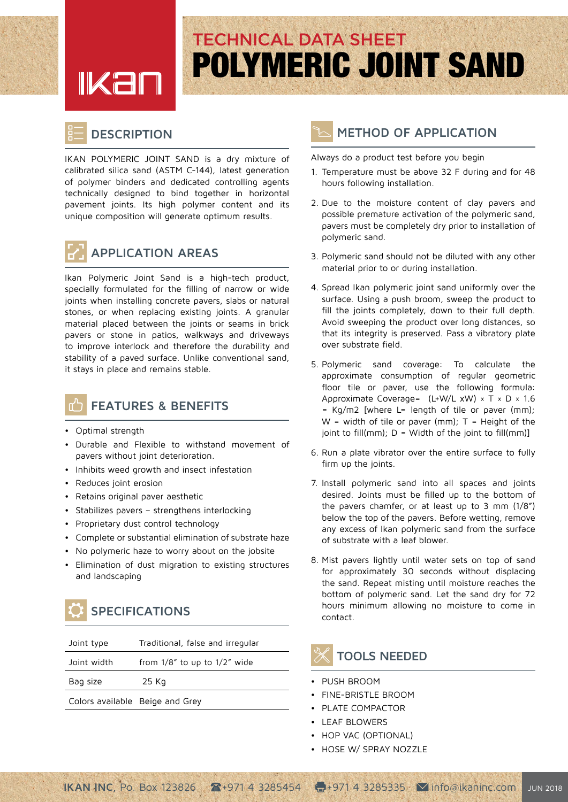# <u>IKan</u>

# **POLYMERIC JOINT SAND TECHNICAL DATA SHEET**

#### **DESCRIPTION**

IKAN POLYMERIC JOINT SAND is a dry mixture of calibrated silica sand (ASTM C-144), latest generation of polymer binders and dedicated controlling agents technically designed to bind together in horizontal pavement joints. Its high polymer content and its unique composition will generate optimum results.



#### **AREAS APPLICATION**

Ikan Polymeric Joint Sand is a high-tech product, specially formulated for the filling of narrow or wide joints when installing concrete pavers, slabs or natural stones, or when replacing existing joints. A granular material placed between the joints or seams in brick pavers or stone in patios, walkways and driveways to improve interlock and therefore the durability and stability of a paved surface. Unlike conventional sand, it stays in place and remains stable.



#### **FEATURES & BENEFITS**

- Optimal strength
- **•** Durable and Flexible to withstand movement of pavers without joint deterioration.
- Inhibits weed growth and insect infestation
- Reduces joint erosion
- Retains original paver aesthetic
- Stabilizes pavers strengthens interlocking
- Proprietary dust control technology
- Complete or substantial elimination of substrate haze
- No polymeric haze to worry about on the jobsite
- Elimination of dust migration to existing structures and landscaping

## **SPECIFICATIONS**

| Joint type                      | Traditional, false and irregular   |
|---------------------------------|------------------------------------|
| Joint width                     | from $1/8$ " to up to $1/2$ " wide |
| Bag size                        | 25 Kg                              |
| Colors available Beige and Grey |                                    |

#### **METHOD OF APPLICATION**

#### Always do a product test before you begin

- 1. Temperature must be above 32 F during and for 48 hours following installation.
- 2. Due to the moisture content of clay pavers and possible premature activation of the polymeric sand, payers must be completely dry prior to installation of polymeric sand.
- 3. Polymeric sand should not be diluted with any other material prior to or during installation.
- 4. Spread Ikan polymeric joint sand uniformly over the surface. Using a push broom, sweep the product to fill the joints completely, down to their full depth. Avoid sweeping the product over long distances, so that its integrity is preserved. Pass a vibratory plate over substrate field.
- 5. Polymeric sand coverage: To calculate the approximate consumption of regular geometric floor tile or paver, use the following formula: Approximate Coverage=  $(L+W/LxW) \times T \times D \times 1.6$  $=$  Kg/m2 [where L= length of tile or paver (mm);  $W =$  width of tile or paver (mm); T = Height of the  $[point to fill(mm); D = Width of the joint to fill(mm)]$
- 6. Run a plate vibrator over the entire surface to fully firm up the joints.
- 7. Install polymeric sand into all spaces and joints desired. Joints must be filled up to the bottom of the pavers chamfer, or at least up to 3 mm  $(1/8<sup>n</sup>)$ below the top of the pavers. Before wetting, remove any excess of Ikan polymeric sand from the surface of substrate with a leaf blower
- 8. Mist pavers lightly until water sets on top of sand for approximately 30 seconds without displacing the sand. Repeat misting until moisture reaches the bottom of polymeric sand. Let the sand dry for 72 hours minimum allowing no moisture to come in .contact

### **TOOLS NEEDED**

- PUSH BROOM
- **FINE-BRISTLE BROOM**
- PLATE COMPACTOR
- LEAF BLOWERS
- HOP VAC (OPTIONAL)
- HOSE W/ SPRAY NOZZLE